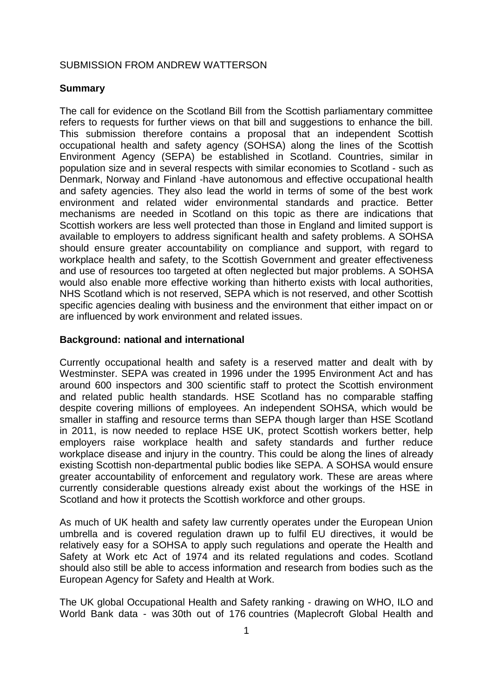# SUBMISSION FROM ANDREW WATTERSON

# **Summary**

The call for evidence on the Scotland Bill from the Scottish parliamentary committee refers to requests for further views on that bill and suggestions to enhance the bill. This submission therefore contains a proposal that an independent Scottish occupational health and safety agency (SOHSA) along the lines of the Scottish Environment Agency (SEPA) be established in Scotland. Countries, similar in population size and in several respects with similar economies to Scotland - such as Denmark, Norway and Finland -have autonomous and effective occupational health and safety agencies. They also lead the world in terms of some of the best work environment and related wider environmental standards and practice. Better mechanisms are needed in Scotland on this topic as there are indications that Scottish workers are less well protected than those in England and limited support is available to employers to address significant health and safety problems. A SOHSA should ensure greater accountability on compliance and support, with regard to workplace health and safety, to the Scottish Government and greater effectiveness and use of resources too targeted at often neglected but major problems. A SOHSA would also enable more effective working than hitherto exists with local authorities, NHS Scotland which is not reserved, SEPA which is not reserved, and other Scottish specific agencies dealing with business and the environment that either impact on or are influenced by work environment and related issues.

## **Background: national and international**

Currently occupational health and safety is a reserved matter and dealt with by Westminster. SEPA was created in 1996 under the 1995 Environment Act and has around 600 inspectors and 300 scientific staff to protect the Scottish environment and related public health standards. HSE Scotland has no comparable staffing despite covering millions of employees. An independent SOHSA, which would be smaller in staffing and resource terms than SEPA though larger than HSE Scotland in 2011, is now needed to replace HSE UK, protect Scottish workers better, help employers raise workplace health and safety standards and further reduce workplace disease and injury in the country. This could be along the lines of already existing Scottish non-departmental public bodies like SEPA. A SOHSA would ensure greater accountability of enforcement and regulatory work. These are areas where currently considerable questions already exist about the workings of the HSE in Scotland and how it protects the Scottish workforce and other groups.

As much of UK health and safety law currently operates under the European Union umbrella and is covered regulation drawn up to fulfil EU directives, it would be relatively easy for a SOHSA to apply such regulations and operate the Health and Safety at Work etc Act of 1974 and its related regulations and codes. Scotland should also still be able to access information and research from bodies such as the European Agency for Safety and Health at Work.

The UK global Occupational Health and Safety ranking - drawing on WHO, ILO and World Bank data - was 30th out of 176 countries (Maplecroft Global Health and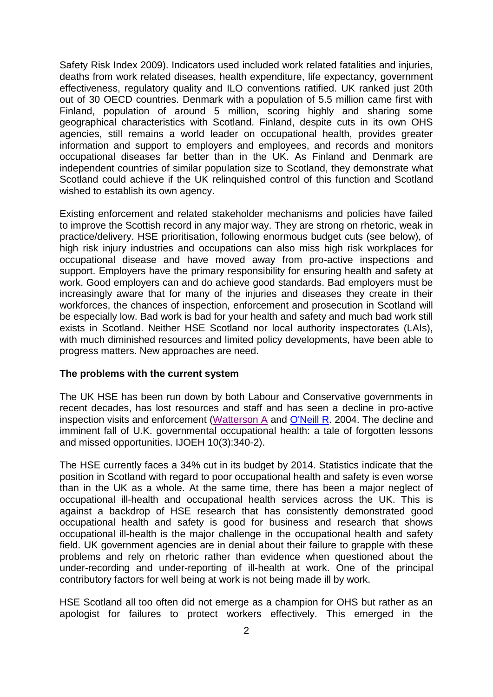Safety Risk Index 2009). Indicators used included work related fatalities and injuries, deaths from work related diseases, health expenditure, life expectancy, government effectiveness, regulatory quality and ILO conventions ratified. UK ranked just 20th out of 30 OECD countries. Denmark with a population of 5.5 million came first with Finland, population of around 5 million, scoring highly and sharing some geographical characteristics with Scotland. Finland, despite cuts in its own OHS agencies, still remains a world leader on occupational health, provides greater information and support to employers and employees, and records and monitors occupational diseases far better than in the UK. As Finland and Denmark are independent countries of similar population size to Scotland, they demonstrate what Scotland could achieve if the UK relinquished control of this function and Scotland wished to establish its own agency.

Existing enforcement and related stakeholder mechanisms and policies have failed to improve the Scottish record in any major way. They are strong on rhetoric, weak in practice/delivery. HSE prioritisation, following enormous budget cuts (see below), of high risk injury industries and occupations can also miss high risk workplaces for occupational disease and have moved away from pro-active inspections and support. Employers have the primary responsibility for ensuring health and safety at work. Good employers can and do achieve good standards. Bad employers must be increasingly aware that for many of the injuries and diseases they create in their workforces, the chances of inspection, enforcement and prosecution in Scotland will be especially low. Bad work is bad for your health and safety and much bad work still exists in Scotland. Neither HSE Scotland nor local authority inspectorates (LAIs), with much diminished resources and limited policy developments, have been able to progress matters. New approaches are need.

#### **The problems with the current system**

The UK HSE has been run down by both Labour and Conservative governments in recent decades, has lost resources and staff and has seen a decline in pro-active inspection visits and enforcement [\(Watterson A](http://www.ncbi.nlm.nih.gov/pubmed?term=%22Watterson%20A%22%5BAuthor%5D) and [O'Neill R.](http://www.ncbi.nlm.nih.gov/pubmed?term=%22O) 2004. The decline and imminent fall of U.K. governmental occupational health: a tale of forgotten lessons and missed opportunities. IJOEH 10(3):340-2).

The HSE currently faces a 34% cut in its budget by 2014. Statistics indicate that the position in Scotland with regard to poor occupational health and safety is even worse than in the UK as a whole. At the same time, there has been a major neglect of occupational ill-health and occupational health services across the UK. This is against a backdrop of HSE research that has consistently demonstrated good occupational health and safety is good for business and research that shows occupational ill-health is the major challenge in the occupational health and safety field. UK government agencies are in denial about their failure to grapple with these problems and rely on rhetoric rather than evidence when questioned about the under-recording and under-reporting of ill-health at work. One of the principal contributory factors for well being at work is not being made ill by work.

HSE Scotland all too often did not emerge as a champion for OHS but rather as an apologist for failures to protect workers effectively. This emerged in the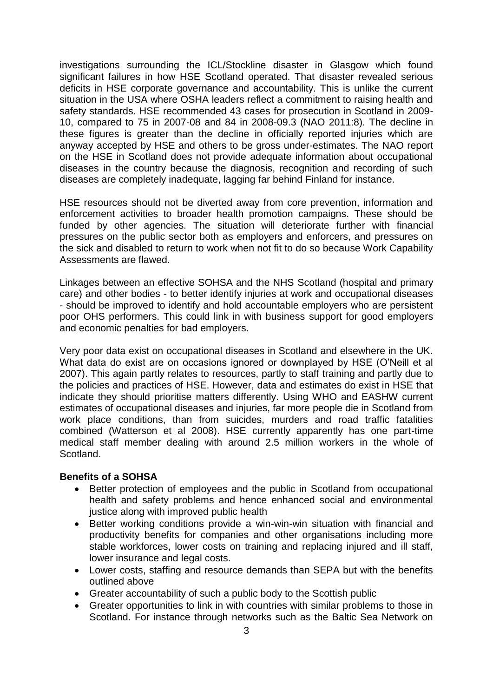investigations surrounding the ICL/Stockline disaster in Glasgow which found significant failures in how HSE Scotland operated. That disaster revealed serious deficits in HSE corporate governance and accountability. This is unlike the current situation in the USA where OSHA leaders reflect a commitment to raising health and safety standards. HSE recommended 43 cases for prosecution in Scotland in 2009- 10, compared to 75 in 2007-08 and 84 in 2008-09.3 (NAO 2011:8). The decline in these figures is greater than the decline in officially reported injuries which are anyway accepted by HSE and others to be gross under-estimates. The NAO report on the HSE in Scotland does not provide adequate information about occupational diseases in the country because the diagnosis, recognition and recording of such diseases are completely inadequate, lagging far behind Finland for instance.

HSE resources should not be diverted away from core prevention, information and enforcement activities to broader health promotion campaigns. These should be funded by other agencies. The situation will deteriorate further with financial pressures on the public sector both as employers and enforcers, and pressures on the sick and disabled to return to work when not fit to do so because Work Capability Assessments are flawed.

Linkages between an effective SOHSA and the NHS Scotland (hospital and primary care) and other bodies - to better identify injuries at work and occupational diseases - should be improved to identify and hold accountable employers who are persistent poor OHS performers. This could link in with business support for good employers and economic penalties for bad employers.

Very poor data exist on occupational diseases in Scotland and elsewhere in the UK. What data do exist are on occasions ignored or downplayed by HSE (O'Neill et al 2007). This again partly relates to resources, partly to staff training and partly due to the policies and practices of HSE. However, data and estimates do exist in HSE that indicate they should prioritise matters differently. Using WHO and EASHW current estimates of occupational diseases and injuries, far more people die in Scotland from work place conditions, than from suicides, murders and road traffic fatalities combined (Watterson et al 2008). HSE currently apparently has one part-time medical staff member dealing with around 2.5 million workers in the whole of Scotland.

### **Benefits of a SOHSA**

- Better protection of employees and the public in Scotland from occupational health and safety problems and hence enhanced social and environmental justice along with improved public health
- Better working conditions provide a win-win-win situation with financial and productivity benefits for companies and other organisations including more stable workforces, lower costs on training and replacing injured and ill staff, lower insurance and legal costs.
- Lower costs, staffing and resource demands than SEPA but with the benefits outlined above
- Greater accountability of such a public body to the Scottish public
- Greater opportunities to link in with countries with similar problems to those in Scotland. For instance through networks such as the Baltic Sea Network on